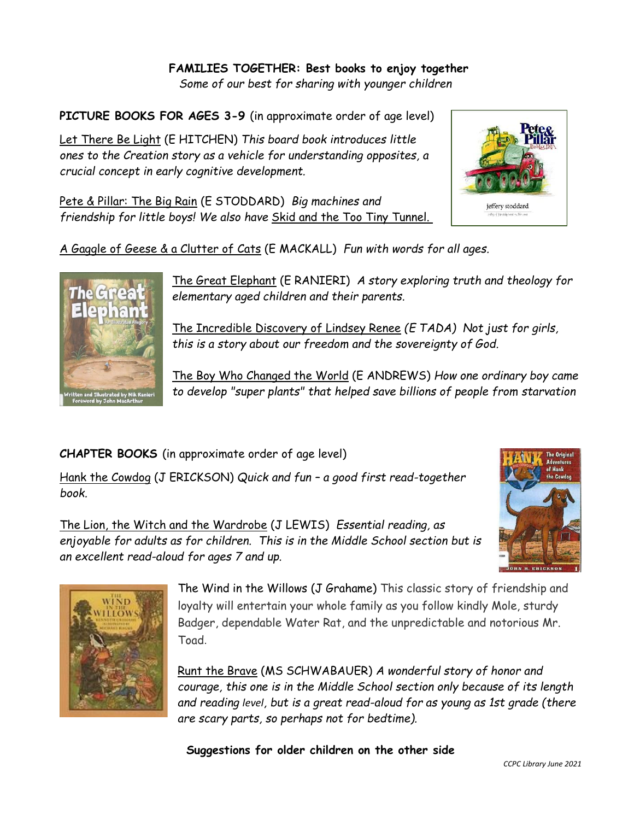## **FAMILIES TOGETHER: Best books to enjoy together**

*Some of our best for sharing with younger children* 

**PICTURE BOOKS FOR AGES 3-9** (in approximate order of age level)

Let There Be Light (E HITCHEN) *This board book introduces little ones to the Creation story as a vehicle for understanding opposites, a crucial concept in early cognitive development.*

Pete & Pillar: The Big Rain (E STODDARD) *Big machines and friendship for little boys! We also have* Skid and the Too Tiny Tunnel.





The Great Elephant (E RANIERI) *A story exploring truth and theology for elementary aged children and their parents.*

The Incredible Discovery of Lindsey Renee *(E TADA) Not just for girls, this is a story about our freedom and the sovereignty of God.*

The Boy Who Changed the World (E ANDREWS) *How one ordinary boy came to develop "super plants" that helped save billions of people from starvation*

**CHAPTER BOOKS** (in approximate order of age level)

Hank the Cowdog (J ERICKSON) *Quick and fun – a good first read-together book.*

The Lion, the Witch and the Wardrobe (J LEWIS) *Essential reading, as enjoyable for adults as for children. This is in the Middle School section but is an excellent read-aloud for ages 7 and up.*



jeffery stoddard



The Wind in the Willows (J Grahame) This classic story of friendship and loyalty will entertain your whole family as you follow kindly Mole, sturdy Badger, dependable Water Rat, and the unpredictable and notorious Mr. Toad.

Runt the Brave (MS SCHWABAUER) *A wonderful story of honor and courage, this one is in the Middle School section only because of its length and reading level, but is a great read-aloud for as young as 1st grade (there are scary parts, so perhaps not for bedtime).*

**Suggestions for older children on the other side**